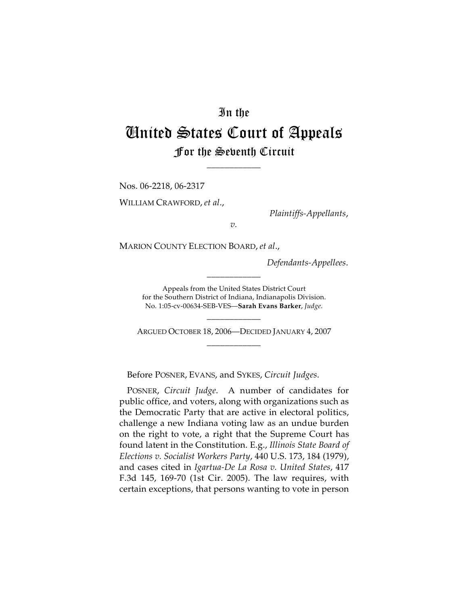## In the

## United States Court of Appeals For the Seventh Circuit

\_\_\_\_\_\_\_\_\_\_\_\_

Nos. 06-2218, 06-2317

WILLIAM CRAWFORD, *et al*.,

*Plaintiffs-Appellants*,

*v.*

MARION COUNTY ELECTION BOARD, *et al*.,

*Defendants-Appellees*.

Appeals from the United States District Court for the Southern District of Indiana, Indianapolis Division. No. 1:05-cv-00634-SEB-VES—**Sarah Evans Barker**, *Judge*.

\_\_\_\_\_\_\_\_\_\_\_\_

ARGUED OCTOBER 18, 2006—DECIDED JANUARY 4, 2007 \_\_\_\_\_\_\_\_\_\_\_\_

\_\_\_\_\_\_\_\_\_\_\_\_

Before POSNER, EVANS, and SYKES, *Circuit Judges*.

POSNER, *Circuit Judge*. A number of candidates for public office, and voters, along with organizations such as the Democratic Party that are active in electoral politics, challenge a new Indiana voting law as an undue burden on the right to vote, a right that the Supreme Court has found latent in the Constitution. E.g., *Illinois State Board of Elections v. Socialist Workers Party*, 440 U.S. 173, 184 (1979), and cases cited in *Igartua-De La Rosa v. United States*, 417 F.3d 145, 169-70 (1st Cir. 2005). The law requires, with certain exceptions, that persons wanting to vote in person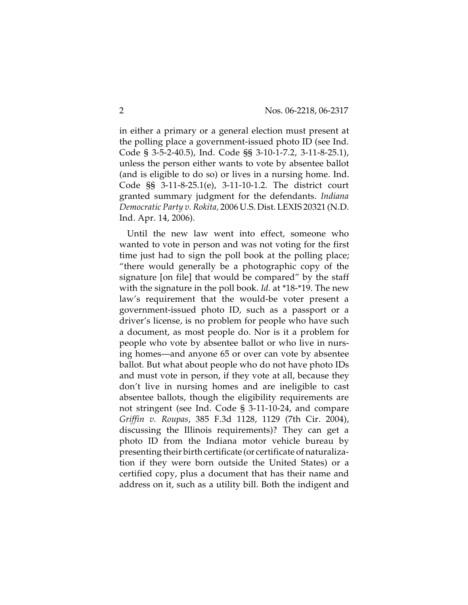in either a primary or a general election must present at the polling place a government-issued photo ID (see Ind. Code § 3-5-2-40.5), Ind. Code §§ 3-10-1-7.2, 3-11-8-25.1), unless the person either wants to vote by absentee ballot (and is eligible to do so) or lives in a nursing home. Ind. Code §§ 3-11-8-25.1(e), 3-11-10-1.2. The district court granted summary judgment for the defendants. *Indiana Democratic Party v. Rokita,* 2006 U.S. Dist. LEXIS 20321 (N.D. Ind. Apr. 14, 2006).

Until the new law went into effect, someone who wanted to vote in person and was not voting for the first time just had to sign the poll book at the polling place; "there would generally be a photographic copy of the signature [on file] that would be compared" by the staff with the signature in the poll book. *Id.* at \*18-\*19. The new law's requirement that the would-be voter present a government-issued photo ID, such as a passport or a driver's license, is no problem for people who have such a document, as most people do. Nor is it a problem for people who vote by absentee ballot or who live in nursing homes—and anyone 65 or over can vote by absentee ballot. But what about people who do not have photo IDs and must vote in person, if they vote at all, because they don't live in nursing homes and are ineligible to cast absentee ballots, though the eligibility requirements are not stringent (see Ind. Code § 3-11-10-24, and compare *Griffin v. Roupas*, 385 F.3d 1128, 1129 (7th Cir. 2004), discussing the Illinois requirements)? They can get a photo ID from the Indiana motor vehicle bureau by presenting their birth certificate (or certificate of naturalization if they were born outside the United States) or a certified copy, plus a document that has their name and address on it, such as a utility bill. Both the indigent and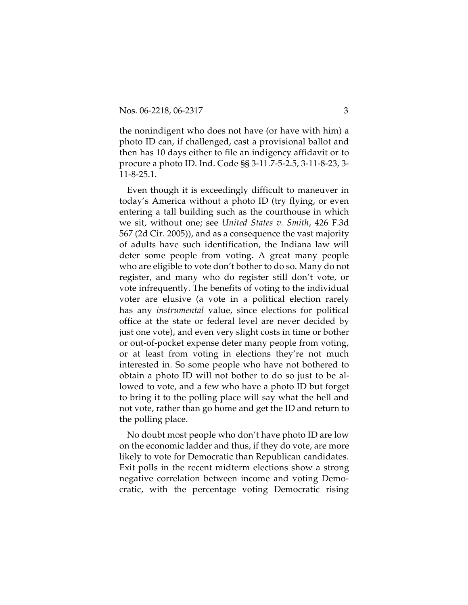the nonindigent who does not have (or have with him) a photo ID can, if challenged, cast a provisional ballot and then has 10 days either to file an indigency affidavit or to procure a photo ID. Ind. Code §§ 3-11.7-5-2.5, 3-11-8-23, 3- 11-8-25.1.

Even though it is exceedingly difficult to maneuver in today's America without a photo ID (try flying, or even entering a tall building such as the courthouse in which we sit, without one; see *United States v. Smith*, 426 F.3d 567 (2d Cir. 2005)), and as a consequence the vast majority of adults have such identification, the Indiana law will deter some people from voting. A great many people who are eligible to vote don't bother to do so. Many do not register, and many who do register still don't vote, or vote infrequently. The benefits of voting to the individual voter are elusive (a vote in a political election rarely has any *instrumental* value, since elections for political office at the state or federal level are never decided by just one vote), and even very slight costs in time or bother or out-of-pocket expense deter many people from voting, or at least from voting in elections they're not much interested in. So some people who have not bothered to obtain a photo ID will not bother to do so just to be allowed to vote, and a few who have a photo ID but forget to bring it to the polling place will say what the hell and not vote, rather than go home and get the ID and return to the polling place.

No doubt most people who don't have photo ID are low on the economic ladder and thus, if they do vote, are more likely to vote for Democratic than Republican candidates. Exit polls in the recent midterm elections show a strong negative correlation between income and voting Democratic, with the percentage voting Democratic rising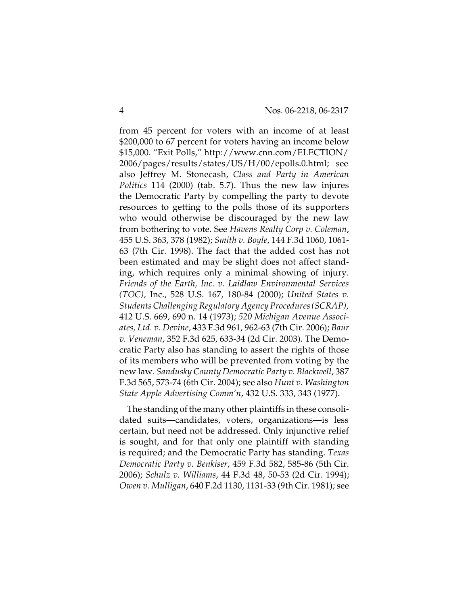from 45 percent for voters with an income of at least \$200,000 to 67 percent for voters having an income below \$15,000. "Exit Polls," http://www.cnn.com/ELECTION/ 2006/pages/results/states/US/H/00/epolls.0.html; see also Jeffrey M. Stonecash, *Class and Party in American Politics* 114 (2000) (tab. 5.7). Thus the new law injures the Democratic Party by compelling the party to devote resources to getting to the polls those of its supporters who would otherwise be discouraged by the new law from bothering to vote. See *Havens Realty Corp v. Coleman*, 455 U.S. 363, 378 (1982); *Smith v. Boyle*, 144 F.3d 1060, 1061- 63 (7th Cir. 1998). The fact that the added cost has not been estimated and may be slight does not affect standing, which requires only a minimal showing of injury. *Friends of the Earth, Inc. v. Laidlaw Environmental Services (TOC),* Inc., 528 U.S. 167, 180-84 (2000); *United States v. Students Challenging Regulatory Agency Procedures (SCRAP)*, 412 U.S. 669, 690 n. 14 (1973); *520 Michigan Avenue Associates, Ltd. v. Devine*, 433 F.3d 961, 962-63 (7th Cir. 2006); *Baur v. Veneman*, 352 F.3d 625, 633-34 (2d Cir. 2003). The Democratic Party also has standing to assert the rights of those of its members who will be prevented from voting by the new law. *Sandusky County Democratic Party v. Blackwell*, 387 F.3d 565, 573-74 (6th Cir. 2004); see also *Hunt v. Washington State Apple Advertising Comm'n*, 432 U.S. 333, 343 (1977).

The standing of the many other plaintiffs in these consolidated suits—candidates, voters, organizations—is less certain, but need not be addressed. Only injunctive relief is sought, and for that only one plaintiff with standing is required; and the Democratic Party has standing. *Texas Democratic Party v. Benkiser*, 459 F.3d 582, 585-86 (5th Cir. 2006); *Schulz v. Williams*, 44 F.3d 48, 50-53 (2d Cir. 1994); *Owen v. Mulligan*, 640 F.2d 1130, 1131-33 (9th Cir. 1981); see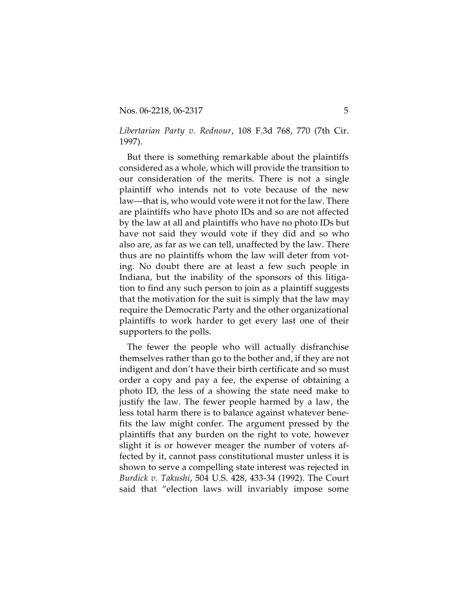*Libertarian Party v. Rednour*, 108 F.3d 768, 770 (7th Cir. 1997).

But there is something remarkable about the plaintiffs considered as a whole, which will provide the transition to our consideration of the merits. There is not a single plaintiff who intends not to vote because of the new law—that is, who would vote were it not for the law. There are plaintiffs who have photo IDs and so are not affected by the law at all and plaintiffs who have no photo IDs but have not said they would vote if they did and so who also are, as far as we can tell, unaffected by the law. There thus are no plaintiffs whom the law will deter from voting. No doubt there are at least a few such people in Indiana, but the inability of the sponsors of this litigation to find any such person to join as a plaintiff suggests that the motivation for the suit is simply that the law may require the Democratic Party and the other organizational plaintiffs to work harder to get every last one of their supporters to the polls.

The fewer the people who will actually disfranchise themselves rather than go to the bother and, if they are not indigent and don't have their birth certificate and so must order a copy and pay a fee, the expense of obtaining a photo ID, the less of a showing the state need make to justify the law. The fewer people harmed by a law, the less total harm there is to balance against whatever benefits the law might confer. The argument pressed by the plaintiffs that any burden on the right to vote, however slight it is or however meager the number of voters affected by it, cannot pass constitutional muster unless it is shown to serve a compelling state interest was rejected in *Burdick v. Takushi*, 504 U.S. 428, 433-34 (1992). The Court said that "election laws will invariably impose some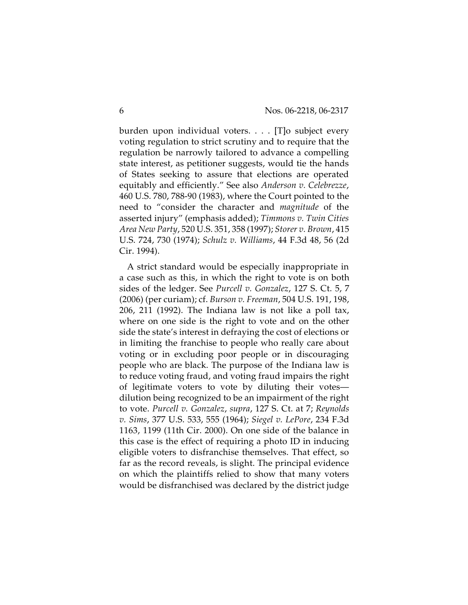burden upon individual voters. . . . [T]o subject every voting regulation to strict scrutiny and to require that the regulation be narrowly tailored to advance a compelling state interest, as petitioner suggests, would tie the hands of States seeking to assure that elections are operated equitably and efficiently." See also *Anderson v. Celebrezze*, 460 U.S. 780, 788-90 (1983), where the Court pointed to the need to "consider the character and *magnitude* of the asserted injury" (emphasis added); *Timmons v. Twin Cities Area New Party*, 520 U.S. 351, 358 (1997); *Storer v. Brown*, 415 U.S. 724, 730 (1974); *Schulz v. Williams*, 44 F.3d 48, 56 (2d Cir. 1994).

A strict standard would be especially inappropriate in a case such as this, in which the right to vote is on both sides of the ledger. See *Purcell v. Gonzalez*, 127 S. Ct. 5, 7 (2006) (per curiam); cf. *Burson v. Freeman*, 504 U.S. 191, 198, 206, 211 (1992). The Indiana law is not like a poll tax, where on one side is the right to vote and on the other side the state's interest in defraying the cost of elections or in limiting the franchise to people who really care about voting or in excluding poor people or in discouraging people who are black. The purpose of the Indiana law is to reduce voting fraud, and voting fraud impairs the right of legitimate voters to vote by diluting their votes dilution being recognized to be an impairment of the right to vote. *Purcell v. Gonzalez*, *supra*, 127 S. Ct. at 7; *Reynolds v. Sims*, 377 U.S. 533, 555 (1964); *Siegel v. LePore*, 234 F.3d 1163, 1199 (11th Cir. 2000). On one side of the balance in this case is the effect of requiring a photo ID in inducing eligible voters to disfranchise themselves. That effect, so far as the record reveals, is slight. The principal evidence on which the plaintiffs relied to show that many voters would be disfranchised was declared by the district judge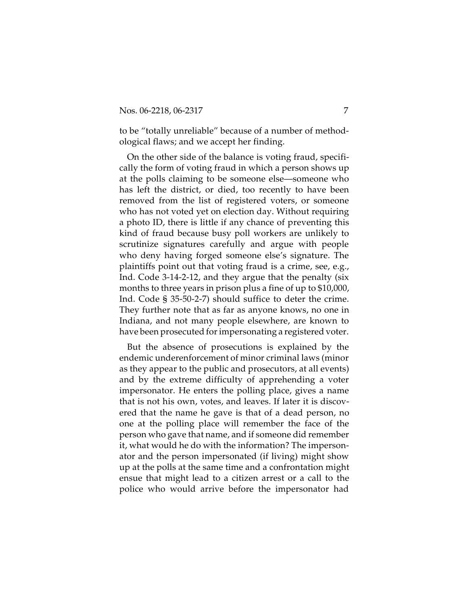to be "totally unreliable" because of a number of methodological flaws; and we accept her finding.

On the other side of the balance is voting fraud, specifically the form of voting fraud in which a person shows up at the polls claiming to be someone else—someone who has left the district, or died, too recently to have been removed from the list of registered voters, or someone who has not voted yet on election day. Without requiring a photo ID, there is little if any chance of preventing this kind of fraud because busy poll workers are unlikely to scrutinize signatures carefully and argue with people who deny having forged someone else's signature. The plaintiffs point out that voting fraud is a crime, see, e.g., Ind. Code 3-14-2-12, and they argue that the penalty (six months to three years in prison plus a fine of up to \$10,000, Ind. Code § 35-50-2-7) should suffice to deter the crime. They further note that as far as anyone knows, no one in Indiana, and not many people elsewhere, are known to have been prosecuted for impersonating a registered voter.

But the absence of prosecutions is explained by the endemic underenforcement of minor criminal laws (minor as they appear to the public and prosecutors, at all events) and by the extreme difficulty of apprehending a voter impersonator. He enters the polling place, gives a name that is not his own, votes, and leaves. If later it is discovered that the name he gave is that of a dead person, no one at the polling place will remember the face of the person who gave that name, and if someone did remember it, what would he do with the information? The impersonator and the person impersonated (if living) might show up at the polls at the same time and a confrontation might ensue that might lead to a citizen arrest or a call to the police who would arrive before the impersonator had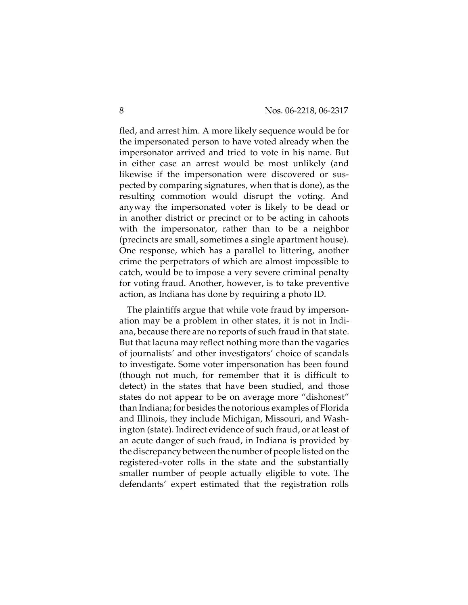fled, and arrest him. A more likely sequence would be for the impersonated person to have voted already when the impersonator arrived and tried to vote in his name. But in either case an arrest would be most unlikely (and likewise if the impersonation were discovered or suspected by comparing signatures, when that is done), as the resulting commotion would disrupt the voting. And anyway the impersonated voter is likely to be dead or in another district or precinct or to be acting in cahoots with the impersonator, rather than to be a neighbor (precincts are small, sometimes a single apartment house). One response, which has a parallel to littering, another crime the perpetrators of which are almost impossible to catch, would be to impose a very severe criminal penalty for voting fraud. Another, however, is to take preventive action, as Indiana has done by requiring a photo ID.

The plaintiffs argue that while vote fraud by impersonation may be a problem in other states, it is not in Indiana, because there are no reports of such fraud in that state. But that lacuna may reflect nothing more than the vagaries of journalists' and other investigators' choice of scandals to investigate. Some voter impersonation has been found (though not much, for remember that it is difficult to detect) in the states that have been studied, and those states do not appear to be on average more "dishonest" than Indiana; for besides the notorious examples of Florida and Illinois, they include Michigan, Missouri, and Washington (state). Indirect evidence of such fraud, or at least of an acute danger of such fraud, in Indiana is provided by the discrepancy between the number of people listed on the registered-voter rolls in the state and the substantially smaller number of people actually eligible to vote. The defendants' expert estimated that the registration rolls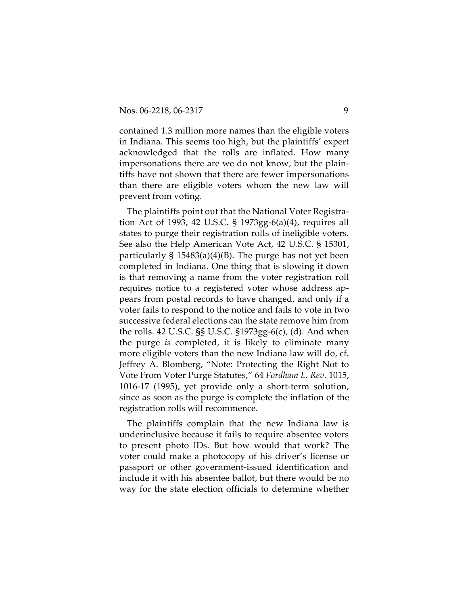contained 1.3 million more names than the eligible voters in Indiana. This seems too high, but the plaintiffs' expert acknowledged that the rolls are inflated. How many impersonations there are we do not know, but the plaintiffs have not shown that there are fewer impersonations than there are eligible voters whom the new law will prevent from voting.

The plaintiffs point out that the National Voter Registration Act of 1993, 42 U.S.C. § 1973gg-6(a)(4), requires all states to purge their registration rolls of ineligible voters. See also the Help American Vote Act, 42 U.S.C. § 15301, particularly  $\S$  15483(a)(4)(B). The purge has not yet been completed in Indiana. One thing that is slowing it down is that removing a name from the voter registration roll requires notice to a registered voter whose address appears from postal records to have changed, and only if a voter fails to respond to the notice and fails to vote in two successive federal elections can the state remove him from the rolls. 42 U.S.C. §§ U.S.C. §1973gg-6(c), (d). And when the purge *is* completed, it is likely to eliminate many more eligible voters than the new Indiana law will do, cf. Jeffrey A. Blomberg, "Note: Protecting the Right Not to Vote From Voter Purge Statutes," 64 *Fordham L. Rev*. 1015, 1016-17 (1995), yet provide only a short-term solution, since as soon as the purge is complete the inflation of the registration rolls will recommence.

The plaintiffs complain that the new Indiana law is underinclusive because it fails to require absentee voters to present photo IDs. But how would that work? The voter could make a photocopy of his driver's license or passport or other government-issued identification and include it with his absentee ballot, but there would be no way for the state election officials to determine whether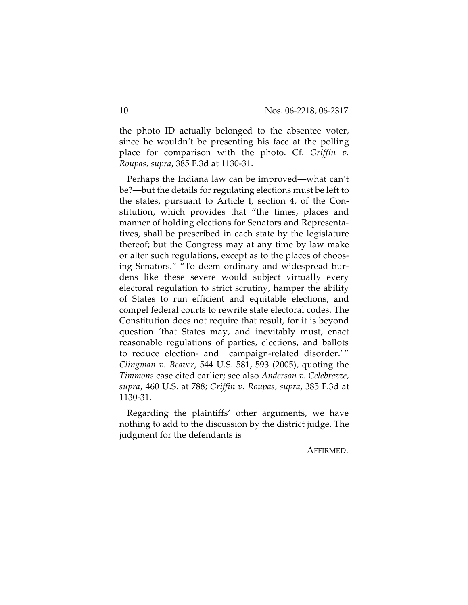the photo ID actually belonged to the absentee voter, since he wouldn't be presenting his face at the polling place for comparison with the photo. Cf. *Griffin v. Roupas, supra*, 385 F.3d at 1130-31.

Perhaps the Indiana law can be improved—what can't be?—but the details for regulating elections must be left to the states, pursuant to Article I, section 4, of the Constitution, which provides that "the times, places and manner of holding elections for Senators and Representatives, shall be prescribed in each state by the legislature thereof; but the Congress may at any time by law make or alter such regulations, except as to the places of choosing Senators." "To deem ordinary and widespread burdens like these severe would subject virtually every electoral regulation to strict scrutiny, hamper the ability of States to run efficient and equitable elections, and compel federal courts to rewrite state electoral codes. The Constitution does not require that result, for it is beyond question 'that States may, and inevitably must, enact reasonable regulations of parties, elections, and ballots to reduce election- and campaign-related disorder.' " *Clingman v. Beaver*, 544 U.S. 581, 593 (2005), quoting the *Timmons* case cited earlier; see also *Anderson v. Celebrezze, supra*, 460 U.S. at 788; *Griffin v. Roupas*, *supra*, 385 F.3d at 1130-31.

Regarding the plaintiffs' other arguments, we have nothing to add to the discussion by the district judge. The judgment for the defendants is

AFFIRMED.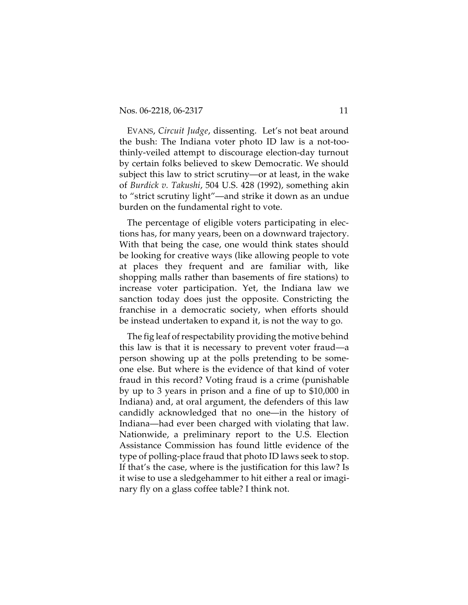EVANS, *Circuit Judge*, dissenting. Let's not beat around the bush: The Indiana voter photo ID law is a not-toothinly-veiled attempt to discourage election-day turnout by certain folks believed to skew Democratic. We should subject this law to strict scrutiny—or at least, in the wake of *Burdick v. Takushi*, 504 U.S. 428 (1992), something akin to "strict scrutiny light"—and strike it down as an undue burden on the fundamental right to vote.

The percentage of eligible voters participating in elections has, for many years, been on a downward trajectory. With that being the case, one would think states should be looking for creative ways (like allowing people to vote at places they frequent and are familiar with, like shopping malls rather than basements of fire stations) to increase voter participation. Yet, the Indiana law we sanction today does just the opposite. Constricting the franchise in a democratic society, when efforts should be instead undertaken to expand it, is not the way to go.

The fig leaf of respectability providing the motive behind this law is that it is necessary to prevent voter fraud—a person showing up at the polls pretending to be someone else. But where is the evidence of that kind of voter fraud in this record? Voting fraud is a crime (punishable by up to 3 years in prison and a fine of up to \$10,000 in Indiana) and, at oral argument, the defenders of this law candidly acknowledged that no one—in the history of Indiana—had ever been charged with violating that law. Nationwide, a preliminary report to the U.S. Election Assistance Commission has found little evidence of the type of polling-place fraud that photo ID laws seek to stop. If that's the case, where is the justification for this law? Is it wise to use a sledgehammer to hit either a real or imaginary fly on a glass coffee table? I think not.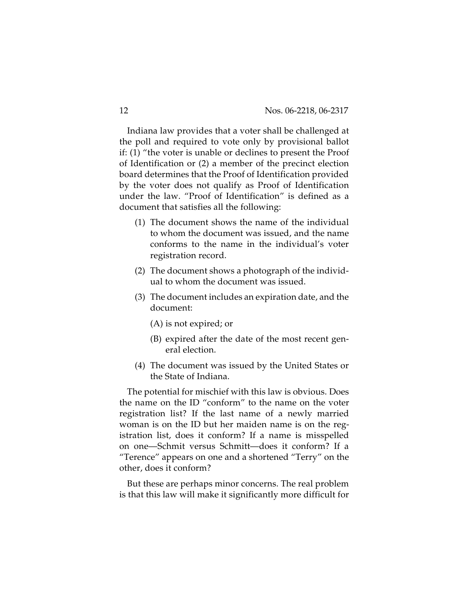Indiana law provides that a voter shall be challenged at the poll and required to vote only by provisional ballot if: (1) "the voter is unable or declines to present the Proof of Identification or (2) a member of the precinct election board determines that the Proof of Identification provided by the voter does not qualify as Proof of Identification under the law. "Proof of Identification" is defined as a document that satisfies all the following:

- (1) The document shows the name of the individual to whom the document was issued, and the name conforms to the name in the individual's voter registration record.
- (2) The document shows a photograph of the individual to whom the document was issued.
- (3) The document includes an expiration date, and the document:
	- (A) is not expired; or
	- (B) expired after the date of the most recent general election.
- (4) The document was issued by the United States or the State of Indiana.

The potential for mischief with this law is obvious. Does the name on the ID "conform" to the name on the voter registration list? If the last name of a newly married woman is on the ID but her maiden name is on the registration list, does it conform? If a name is misspelled on one—Schmit versus Schmitt—does it conform? If a "Terence" appears on one and a shortened "Terry" on the other, does it conform?

But these are perhaps minor concerns. The real problem is that this law will make it significantly more difficult for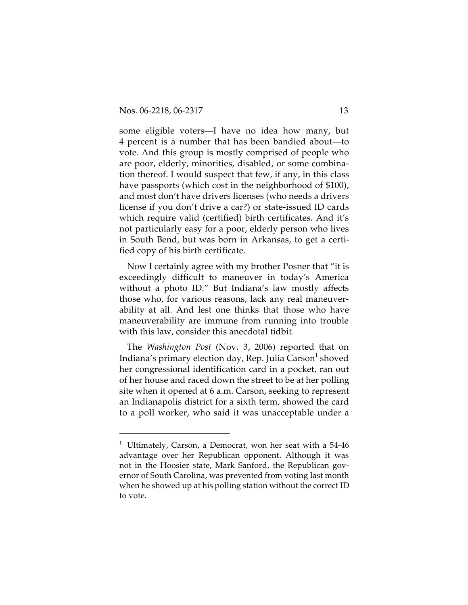some eligible voters—I have no idea how many, but 4 percent is a number that has been bandied about—to vote. And this group is mostly comprised of people who are poor, elderly, minorities, disabled, or some combination thereof. I would suspect that few, if any, in this class have passports (which cost in the neighborhood of \$100), and most don't have drivers licenses (who needs a drivers license if you don't drive a car?) or state-issued ID cards which require valid (certified) birth certificates. And it's not particularly easy for a poor, elderly person who lives in South Bend, but was born in Arkansas, to get a certified copy of his birth certificate.

Now I certainly agree with my brother Posner that "it is exceedingly difficult to maneuver in today's America without a photo ID." But Indiana's law mostly affects those who, for various reasons, lack any real maneuverability at all. And lest one thinks that those who have maneuverability are immune from running into trouble with this law, consider this anecdotal tidbit.

The *Washington Post* (Nov. 3, 2006) reported that on Indiana's primary election day, Rep. Julia Carson<sup>1</sup> shoved her congressional identification card in a pocket, ran out of her house and raced down the street to be at her polling site when it opened at 6 a.m. Carson, seeking to represent an Indianapolis district for a sixth term, showed the card to a poll worker, who said it was unacceptable under a

<sup>&</sup>lt;sup>1</sup> Ultimately, Carson, a Democrat, won her seat with a 54-46 advantage over her Republican opponent. Although it was not in the Hoosier state, Mark Sanford, the Republican governor of South Carolina, was prevented from voting last month when he showed up at his polling station without the correct ID to vote.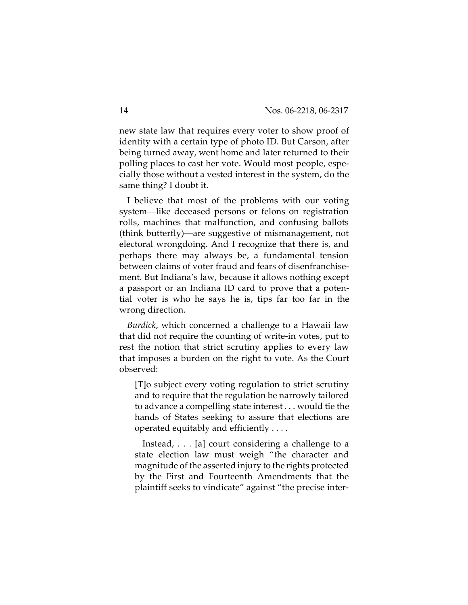new state law that requires every voter to show proof of identity with a certain type of photo ID. But Carson, after being turned away, went home and later returned to their polling places to cast her vote. Would most people, especially those without a vested interest in the system, do the same thing? I doubt it.

I believe that most of the problems with our voting system—like deceased persons or felons on registration rolls, machines that malfunction, and confusing ballots (think butterfly)—are suggestive of mismanagement, not electoral wrongdoing. And I recognize that there is, and perhaps there may always be, a fundamental tension between claims of voter fraud and fears of disenfranchisement. But Indiana's law, because it allows nothing except a passport or an Indiana ID card to prove that a potential voter is who he says he is, tips far too far in the wrong direction.

*Burdick*, which concerned a challenge to a Hawaii law that did not require the counting of write-in votes, put to rest the notion that strict scrutiny applies to every law that imposes a burden on the right to vote. As the Court observed:

[T]o subject every voting regulation to strict scrutiny and to require that the regulation be narrowly tailored to advance a compelling state interest . . . would tie the hands of States seeking to assure that elections are operated equitably and efficiently . . . .

Instead, . . . [a] court considering a challenge to a state election law must weigh "the character and magnitude of the asserted injury to the rights protected by the First and Fourteenth Amendments that the plaintiff seeks to vindicate" against "the precise inter